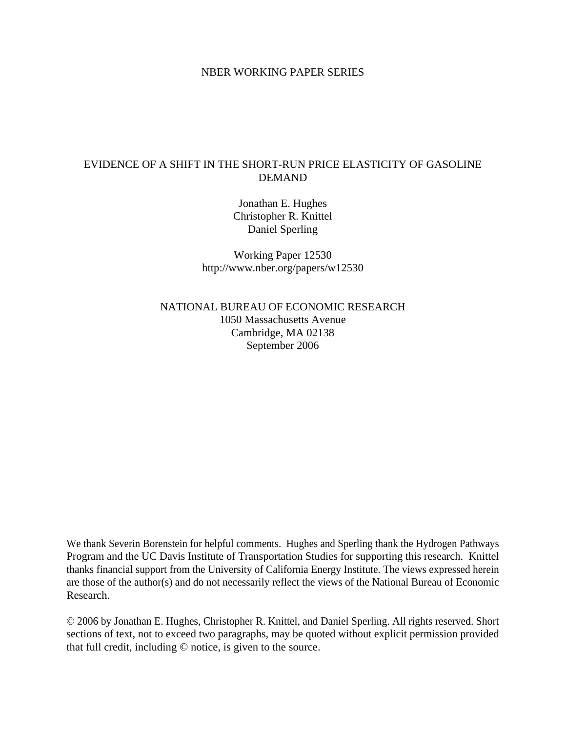## NBER WORKING PAPER SERIES

# EVIDENCE OF A SHIFT IN THE SHORT-RUN PRICE ELASTICITY OF GASOLINE DEMAND

Jonathan E. Hughes Christopher R. Knittel Daniel Sperling

Working Paper 12530 http://www.nber.org/papers/w12530

NATIONAL BUREAU OF ECONOMIC RESEARCH 1050 Massachusetts Avenue Cambridge, MA 02138 September 2006

We thank Severin Borenstein for helpful comments. Hughes and Sperling thank the Hydrogen Pathways Program and the UC Davis Institute of Transportation Studies for supporting this research. Knittel thanks financial support from the University of California Energy Institute. The views expressed herein are those of the author(s) and do not necessarily reflect the views of the National Bureau of Economic Research.

© 2006 by Jonathan E. Hughes, Christopher R. Knittel, and Daniel Sperling. All rights reserved. Short sections of text, not to exceed two paragraphs, may be quoted without explicit permission provided that full credit, including © notice, is given to the source.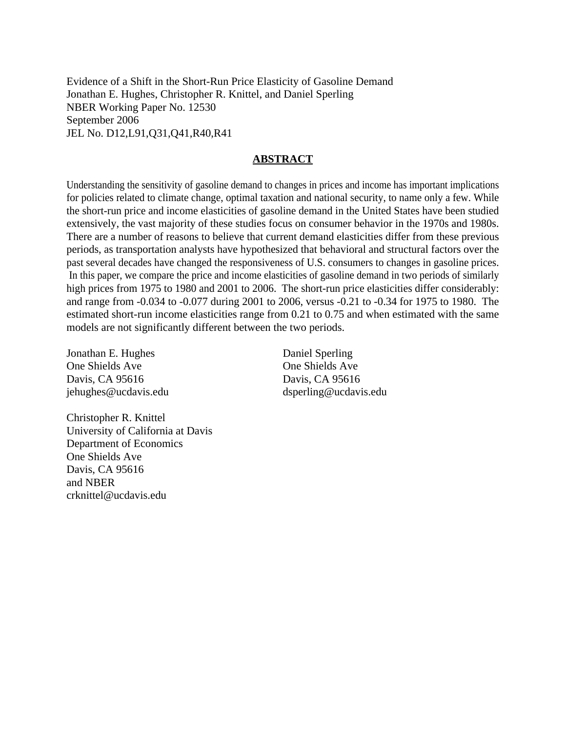Evidence of a Shift in the Short-Run Price Elasticity of Gasoline Demand Jonathan E. Hughes, Christopher R. Knittel, and Daniel Sperling NBER Working Paper No. 12530 September 2006 JEL No. D12,L91,Q31,Q41,R40,R41

## **ABSTRACT**

Understanding the sensitivity of gasoline demand to changes in prices and income has important implications for policies related to climate change, optimal taxation and national security, to name only a few. While the short-run price and income elasticities of gasoline demand in the United States have been studied extensively, the vast majority of these studies focus on consumer behavior in the 1970s and 1980s. There are a number of reasons to believe that current demand elasticities differ from these previous periods, as transportation analysts have hypothesized that behavioral and structural factors over the past several decades have changed the responsiveness of U.S. consumers to changes in gasoline prices. In this paper, we compare the price and income elasticities of gasoline demand in two periods of similarly high prices from 1975 to 1980 and 2001 to 2006. The short-run price elasticities differ considerably: and range from -0.034 to -0.077 during 2001 to 2006, versus -0.21 to -0.34 for 1975 to 1980. The estimated short-run income elasticities range from 0.21 to 0.75 and when estimated with the same models are not significantly different between the two periods.

Jonathan E. Hughes One Shields Ave Davis, CA 95616 jehughes@ucdavis.edu Daniel Sperling One Shields Ave Davis, CA 95616 dsperling@ucdavis.edu

Christopher R. Knittel University of California at Davis Department of Economics One Shields Ave Davis, CA 95616 and NBER crknittel@ucdavis.edu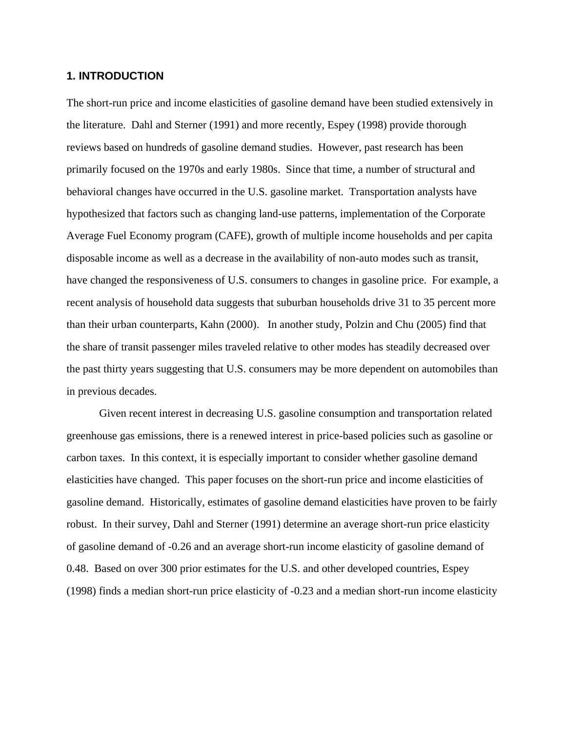# **1. INTRODUCTION**

The short-run price and income elasticities of gasoline demand have been studied extensively in the literature. Dahl and Sterner (1991) and more recently, Espey (1998) provide thorough reviews based on hundreds of gasoline demand studies. However, past research has been primarily focused on the 1970s and early 1980s. Since that time, a number of structural and behavioral changes have occurred in the U.S. gasoline market. Transportation analysts have hypothesized that factors such as changing land-use patterns, implementation of the Corporate Average Fuel Economy program (CAFE), growth of multiple income households and per capita disposable income as well as a decrease in the availability of non-auto modes such as transit, have changed the responsiveness of U.S. consumers to changes in gasoline price. For example, a recent analysis of household data suggests that suburban households drive 31 to 35 percent more than their urban counterparts, Kahn (2000). In another study, Polzin and Chu (2005) find that the share of transit passenger miles traveled relative to other modes has steadily decreased over the past thirty years suggesting that U.S. consumers may be more dependent on automobiles than in previous decades.

Given recent interest in decreasing U.S. gasoline consumption and transportation related greenhouse gas emissions, there is a renewed interest in price-based policies such as gasoline or carbon taxes. In this context, it is especially important to consider whether gasoline demand elasticities have changed. This paper focuses on the short-run price and income elasticities of gasoline demand. Historically, estimates of gasoline demand elasticities have proven to be fairly robust. In their survey, Dahl and Sterner (1991) determine an average short-run price elasticity of gasoline demand of -0.26 and an average short-run income elasticity of gasoline demand of 0.48. Based on over 300 prior estimates for the U.S. and other developed countries, Espey (1998) finds a median short-run price elasticity of -0.23 and a median short-run income elasticity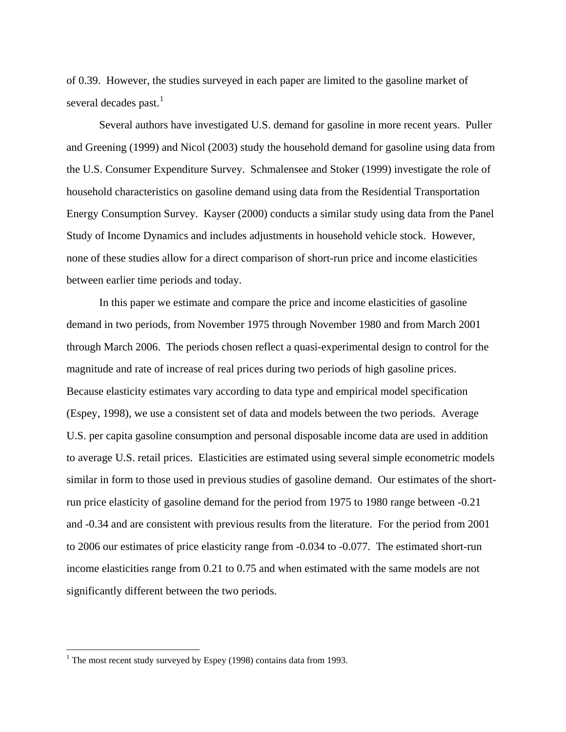of 0.39. However, the studies surveyed in each paper are limited to the gasoline market of several decades past. $^{1}$  $^{1}$  $^{1}$ 

Several authors have investigated U.S. demand for gasoline in more recent years. Puller and Greening (1999) and Nicol (2003) study the household demand for gasoline using data from the U.S. Consumer Expenditure Survey. Schmalensee and Stoker (1999) investigate the role of household characteristics on gasoline demand using data from the Residential Transportation Energy Consumption Survey. Kayser (2000) conducts a similar study using data from the Panel Study of Income Dynamics and includes adjustments in household vehicle stock. However, none of these studies allow for a direct comparison of short-run price and income elasticities between earlier time periods and today.

In this paper we estimate and compare the price and income elasticities of gasoline demand in two periods, from November 1975 through November 1980 and from March 2001 through March 2006. The periods chosen reflect a quasi-experimental design to control for the magnitude and rate of increase of real prices during two periods of high gasoline prices. Because elasticity estimates vary according to data type and empirical model specification (Espey, 1998), we use a consistent set of data and models between the two periods. Average U.S. per capita gasoline consumption and personal disposable income data are used in addition to average U.S. retail prices. Elasticities are estimated using several simple econometric models similar in form to those used in previous studies of gasoline demand. Our estimates of the shortrun price elasticity of gasoline demand for the period from 1975 to 1980 range between -0.21 and -0.34 and are consistent with previous results from the literature. For the period from 2001 to 2006 our estimates of price elasticity range from -0.034 to -0.077. The estimated short-run income elasticities range from 0.21 to 0.75 and when estimated with the same models are not significantly different between the two periods.

 $\overline{a}$ 

<span id="page-3-0"></span><sup>&</sup>lt;sup>1</sup> The most recent study surveyed by Espey (1998) contains data from 1993.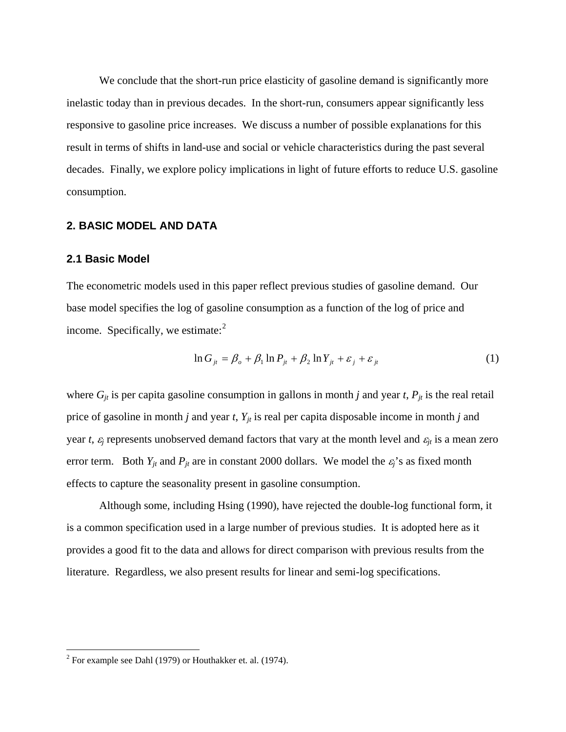We conclude that the short-run price elasticity of gasoline demand is significantly more inelastic today than in previous decades. In the short-run, consumers appear significantly less responsive to gasoline price increases. We discuss a number of possible explanations for this result in terms of shifts in land-use and social or vehicle characteristics during the past several decades. Finally, we explore policy implications in light of future efforts to reduce U.S. gasoline consumption.

# **2. BASIC MODEL AND DATA**

## **2.1 Basic Model**

The econometric models used in this paper reflect previous studies of gasoline demand. Our base model specifies the log of gasoline consumption as a function of the log of price and income. Specifically, we estimate: $2$ 

$$
\ln G_{jt} = \beta_o + \beta_1 \ln P_{jt} + \beta_2 \ln Y_{jt} + \varepsilon_j + \varepsilon_{jt}
$$
 (1)

where  $G_{jt}$  is per capita gasoline consumption in gallons in month *j* and year *t*,  $P_{jt}$  is the real retail price of gasoline in month *j* and year *t*,  $Y_{jt}$  is real per capita disposable income in month *j* and year *t*,  $\varepsilon_j$  represents unobserved demand factors that vary at the month level and  $\varepsilon_{jt}$  is a mean zero error term. Both  $Y_{jt}$  and  $P_{jt}$  are in constant 2000 dollars. We model the  $\varepsilon_j$ 's as fixed month effects to capture the seasonality present in gasoline consumption.

Although some, including Hsing (1990), have rejected the double-log functional form, it is a common specification used in a large number of previous studies. It is adopted here as it provides a good fit to the data and allows for direct comparison with previous results from the literature. Regardless, we also present results for linear and semi-log specifications.

<span id="page-4-0"></span><sup>&</sup>lt;sup>2</sup> For example see Dahl (1979) or Houthakker et. al. (1974).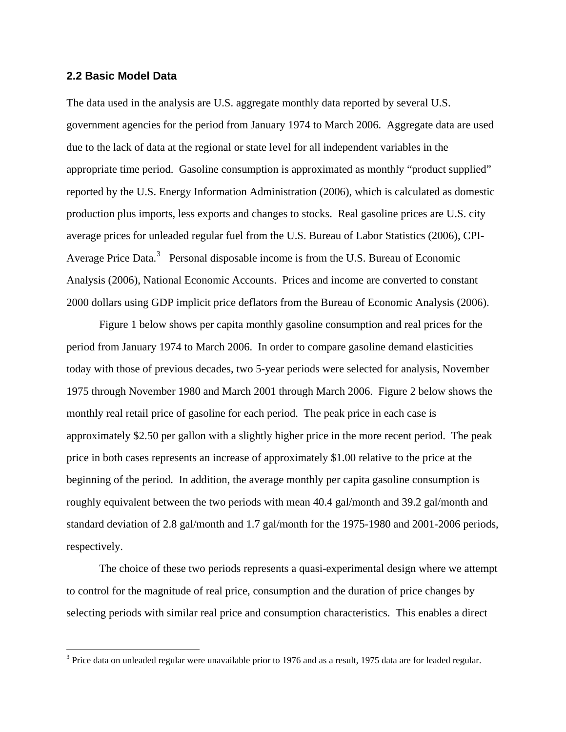### **2.2 Basic Model Data**

 $\overline{a}$ 

The data used in the analysis are U.S. aggregate monthly data reported by several U.S. government agencies for the period from January 1974 to March 2006. Aggregate data are used due to the lack of data at the regional or state level for all independent variables in the appropriate time period. Gasoline consumption is approximated as monthly "product supplied" reported by the U.S. Energy Information Administration (2006), which is calculated as domestic production plus imports, less exports and changes to stocks. Real gasoline prices are U.S. city average prices for unleaded regular fuel from the U.S. Bureau of Labor Statistics (2006), CPI-Average Price Data.<sup>[3](#page-5-0)</sup> Personal disposable income is from the U.S. Bureau of Economic Analysis (2006), National Economic Accounts. Prices and income are converted to constant 2000 dollars using GDP implicit price deflators from the Bureau of Economic Analysis (2006).

Figure 1 below shows per capita monthly gasoline consumption and real prices for the period from January 1974 to March 2006. In order to compare gasoline demand elasticities today with those of previous decades, two 5-year periods were selected for analysis, November 1975 through November 1980 and March 2001 through March 2006. Figure 2 below shows the monthly real retail price of gasoline for each period. The peak price in each case is approximately \$2.50 per gallon with a slightly higher price in the more recent period. The peak price in both cases represents an increase of approximately \$1.00 relative to the price at the beginning of the period. In addition, the average monthly per capita gasoline consumption is roughly equivalent between the two periods with mean 40.4 gal/month and 39.2 gal/month and standard deviation of 2.8 gal/month and 1.7 gal/month for the 1975-1980 and 2001-2006 periods, respectively.

The choice of these two periods represents a quasi-experimental design where we attempt to control for the magnitude of real price, consumption and the duration of price changes by selecting periods with similar real price and consumption characteristics. This enables a direct

<span id="page-5-0"></span> $3$  Price data on unleaded regular were unavailable prior to 1976 and as a result, 1975 data are for leaded regular.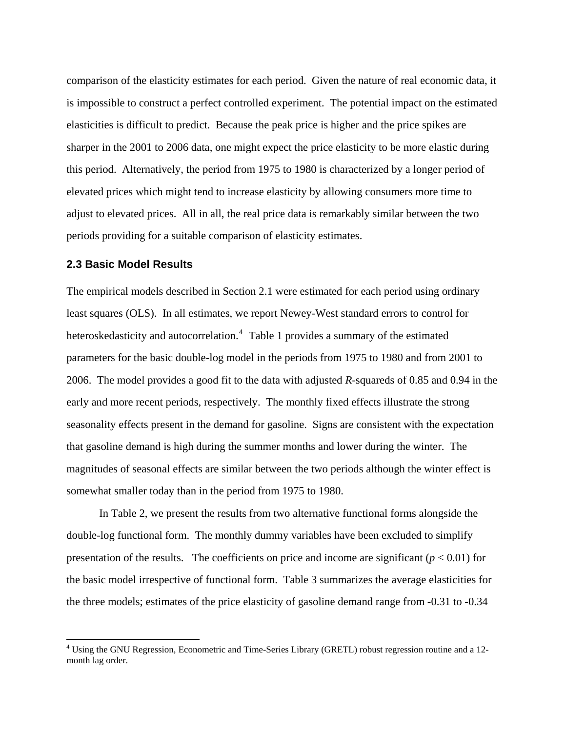comparison of the elasticity estimates for each period. Given the nature of real economic data, it is impossible to construct a perfect controlled experiment. The potential impact on the estimated elasticities is difficult to predict. Because the peak price is higher and the price spikes are sharper in the 2001 to 2006 data, one might expect the price elasticity to be more elastic during this period. Alternatively, the period from 1975 to 1980 is characterized by a longer period of elevated prices which might tend to increase elasticity by allowing consumers more time to adjust to elevated prices. All in all, the real price data is remarkably similar between the two periods providing for a suitable comparison of elasticity estimates.

## **2.3 Basic Model Results**

 $\overline{a}$ 

The empirical models described in Section 2.1 were estimated for each period using ordinary least squares (OLS). In all estimates, we report Newey-West standard errors to control for heteroskedasticity and autocorrelation.<sup>[4](#page-6-0)</sup> Table 1 provides a summary of the estimated parameters for the basic double-log model in the periods from 1975 to 1980 and from 2001 to 2006. The model provides a good fit to the data with adjusted *R*-squareds of 0.85 and 0.94 in the early and more recent periods, respectively. The monthly fixed effects illustrate the strong seasonality effects present in the demand for gasoline. Signs are consistent with the expectation that gasoline demand is high during the summer months and lower during the winter. The magnitudes of seasonal effects are similar between the two periods although the winter effect is somewhat smaller today than in the period from 1975 to 1980.

In Table 2, we present the results from two alternative functional forms alongside the double-log functional form. The monthly dummy variables have been excluded to simplify presentation of the results. The coefficients on price and income are significant  $(p < 0.01)$  for the basic model irrespective of functional form. Table 3 summarizes the average elasticities for the three models; estimates of the price elasticity of gasoline demand range from -0.31 to -0.34

<span id="page-6-0"></span><sup>&</sup>lt;sup>4</sup> Using the GNU Regression, Econometric and Time-Series Library (GRETL) robust regression routine and a 12month lag order.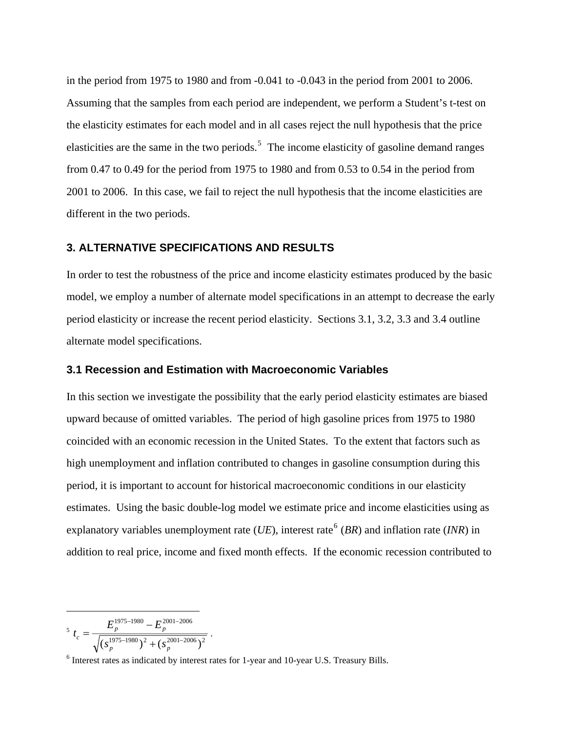in the period from 1975 to 1980 and from -0.041 to -0.043 in the period from 2001 to 2006. Assuming that the samples from each period are independent, we perform a Student's t-test on the elasticity estimates for each model and in all cases reject the null hypothesis that the price elasticities are the same in the two periods.<sup>[5](#page-7-0)</sup> The income elasticity of gasoline demand ranges from 0.47 to 0.49 for the period from 1975 to 1980 and from 0.53 to 0.54 in the period from 2001 to 2006. In this case, we fail to reject the null hypothesis that the income elasticities are different in the two periods.

## **3. ALTERNATIVE SPECIFICATIONS AND RESULTS**

In order to test the robustness of the price and income elasticity estimates produced by the basic model, we employ a number of alternate model specifications in an attempt to decrease the early period elasticity or increase the recent period elasticity. Sections 3.1, 3.2, 3.3 and 3.4 outline alternate model specifications.

### **3.1 Recession and Estimation with Macroeconomic Variables**

In this section we investigate the possibility that the early period elasticity estimates are biased upward because of omitted variables. The period of high gasoline prices from 1975 to 1980 coincided with an economic recession in the United States. To the extent that factors such as high unemployment and inflation contributed to changes in gasoline consumption during this period, it is important to account for historical macroeconomic conditions in our elasticity estimates. Using the basic double-log model we estimate price and income elasticities using as explanatory variables unemployment rate (*UE*), interest rate<sup>[6](#page-7-1)</sup> (*BR*) and inflation rate (*INR*) in addition to real price, income and fixed month effects. If the economic recession contributed to

 $\overline{a}$ 5  $1975 - 1980$   $2 \left( \frac{2001 - 2006}{2} \right)$ 1975 - 1980  $\bf{F}^{2001 - 2006}$  $\left(s_n^{\frac{1975-1980}{n}}\right)^2+\left(s_n^{\frac{2001-2006}{n}}\right)$  $-1980$   $\bf{E}^{2001-}$ +  $=\frac{E_p^{1975-1980}-1}{\sqrt{1055-1980}}$  $p \rightarrow \pm \Omega_p$ *p*  $\boldsymbol{L}_p$  $c = \sqrt{(s_n^{1975-1980})^2 + (s_n^{1975-1980})^2}$  $E_n^{1975-1980}-E$  $t_c = \frac{p}{\sqrt{1 + \left(1 + \frac{p}{\sqrt{1 + \left(1 + \frac{p}{\sqrt{1 + \left(1 + \frac{p}{\sqrt{1 + \left(1 + \frac{p}{\sqrt{1 + \left(1 + \frac{p}{\sqrt{1 + \left(1 + \frac{p}{\sqrt{1 + \left(1 + \frac{p}{\sqrt{1 + \left(1 + \frac{p}{\sqrt{1 + \left(1 + \frac{p}{\sqrt{1 + \left(1 + \frac{p}{\sqrt{1 + \left(1 + \frac{p}{\sqrt{1 + \left(1 + \frac{p}{\sqrt{1 + \left(1 + \frac{p}{\sqrt{1 + \left(1 + \frac{p}{\sqrt$ 

<span id="page-7-1"></span><span id="page-7-0"></span><sup>&</sup>lt;sup>6</sup> Interest rates as indicated by interest rates for 1-year and 10-year U.S. Treasury Bills.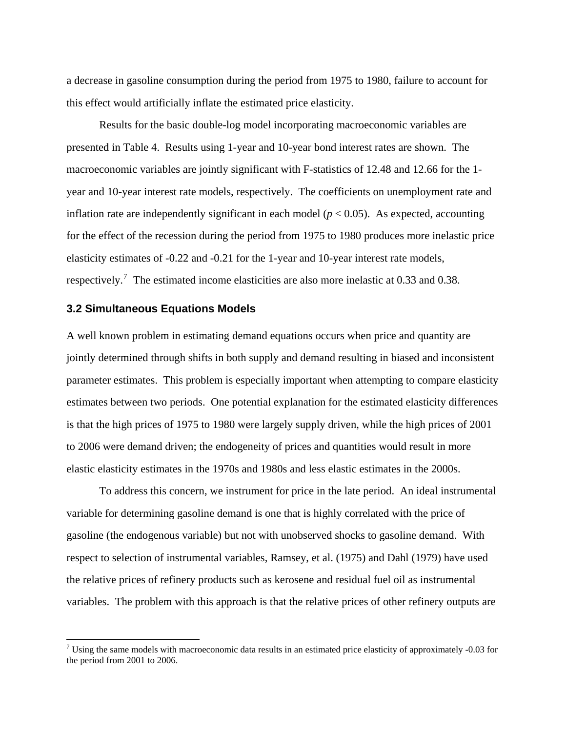a decrease in gasoline consumption during the period from 1975 to 1980, failure to account for this effect would artificially inflate the estimated price elasticity.

Results for the basic double-log model incorporating macroeconomic variables are presented in Table 4. Results using 1-year and 10-year bond interest rates are shown. The macroeconomic variables are jointly significant with F-statistics of 12.48 and 12.66 for the 1 year and 10-year interest rate models, respectively. The coefficients on unemployment rate and inflation rate are independently significant in each model  $(p < 0.05)$ . As expected, accounting for the effect of the recession during the period from 1975 to 1980 produces more inelastic price elasticity estimates of -0.22 and -0.21 for the 1-year and 10-year interest rate models, respectively.<sup>[7](#page-8-0)</sup> The estimated income elasticities are also more inelastic at 0.33 and 0.38.

# **3.2 Simultaneous Equations Models**

 $\overline{a}$ 

A well known problem in estimating demand equations occurs when price and quantity are jointly determined through shifts in both supply and demand resulting in biased and inconsistent parameter estimates. This problem is especially important when attempting to compare elasticity estimates between two periods. One potential explanation for the estimated elasticity differences is that the high prices of 1975 to 1980 were largely supply driven, while the high prices of 2001 to 2006 were demand driven; the endogeneity of prices and quantities would result in more elastic elasticity estimates in the 1970s and 1980s and less elastic estimates in the 2000s.

To address this concern, we instrument for price in the late period. An ideal instrumental variable for determining gasoline demand is one that is highly correlated with the price of gasoline (the endogenous variable) but not with unobserved shocks to gasoline demand. With respect to selection of instrumental variables, Ramsey, et al. (1975) and Dahl (1979) have used the relative prices of refinery products such as kerosene and residual fuel oil as instrumental variables. The problem with this approach is that the relative prices of other refinery outputs are

<span id="page-8-0"></span><sup>&</sup>lt;sup>7</sup> Using the same models with macroeconomic data results in an estimated price elasticity of approximately  $-0.03$  for the period from 2001 to 2006.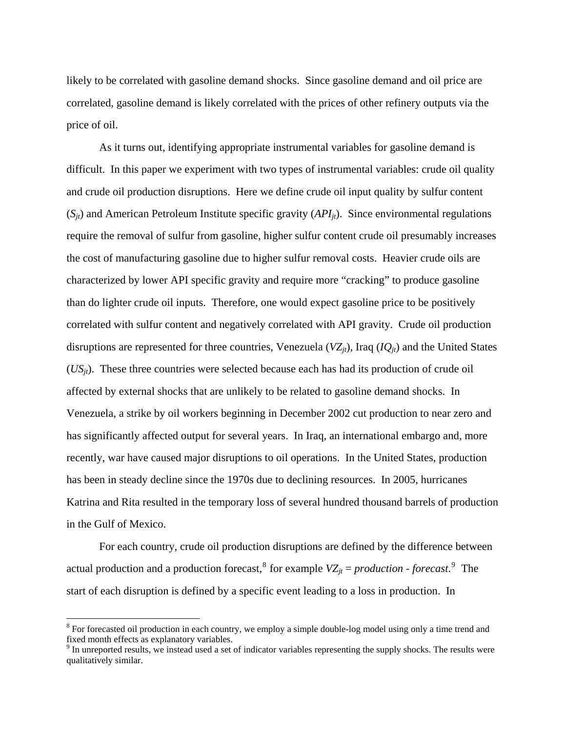likely to be correlated with gasoline demand shocks. Since gasoline demand and oil price are correlated, gasoline demand is likely correlated with the prices of other refinery outputs via the price of oil.

As it turns out, identifying appropriate instrumental variables for gasoline demand is difficult. In this paper we experiment with two types of instrumental variables: crude oil quality and crude oil production disruptions. Here we define crude oil input quality by sulfur content  $(S_{it})$  and American Petroleum Institute specific gravity  $(API_{it})$ . Since environmental regulations require the removal of sulfur from gasoline, higher sulfur content crude oil presumably increases the cost of manufacturing gasoline due to higher sulfur removal costs. Heavier crude oils are characterized by lower API specific gravity and require more "cracking" to produce gasoline than do lighter crude oil inputs. Therefore, one would expect gasoline price to be positively correlated with sulfur content and negatively correlated with API gravity. Crude oil production disruptions are represented for three countries, Venezuela  $(VZ_{it})$ , Iraq  $(IQ_{it})$  and the United States (*USjt*). These three countries were selected because each has had its production of crude oil affected by external shocks that are unlikely to be related to gasoline demand shocks. In Venezuela, a strike by oil workers beginning in December 2002 cut production to near zero and has significantly affected output for several years. In Iraq, an international embargo and, more recently, war have caused major disruptions to oil operations. In the United States, production has been in steady decline since the 1970s due to declining resources. In 2005, hurricanes Katrina and Rita resulted in the temporary loss of several hundred thousand barrels of production in the Gulf of Mexico.

For each country, crude oil production disruptions are defined by the difference between actual production and a production forecast,<sup>[8](#page-9-0)</sup> for example  $VZ_{jt} = production$  - *forecast*.<sup>[9](#page-9-1)</sup> The start of each disruption is defined by a specific event leading to a loss in production. In

 $\overline{a}$ 

<span id="page-9-0"></span> $8$  For forecasted oil production in each country, we employ a simple double-log model using only a time trend and fixed month effects as explanatory variables.

<span id="page-9-1"></span><sup>&</sup>lt;sup>9</sup> In unreported results, we instead used a set of indicator variables representing the supply shocks. The results were qualitatively similar.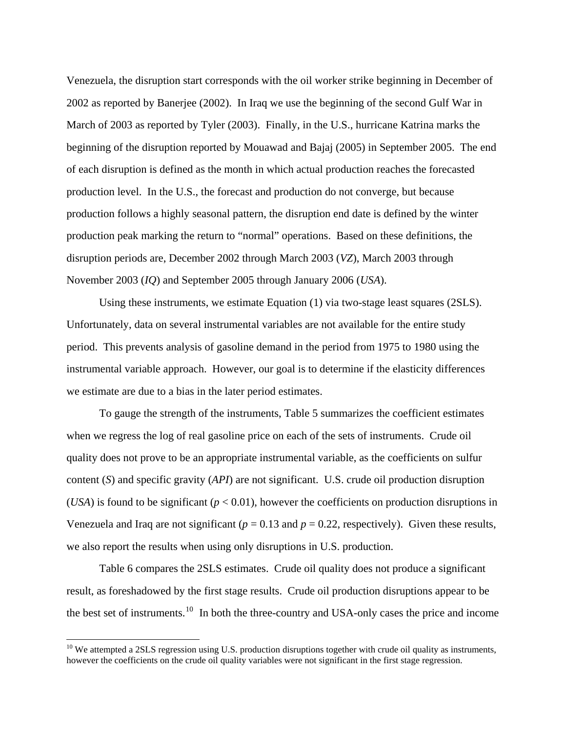<span id="page-10-0"></span>Venezuela, the disruption start corresponds with the oil worker strike beginning in December of 2002 as reported by Banerjee (2002). In Iraq we use the beginning of the second Gulf War in March of 2003 as reported by Tyler (2003). Finally, in the U.S., hurricane Katrina marks the beginning of the disruption reported by Mouawad and Bajaj (2005) in September 2005. The end of each disruption is defined as the month in which actual production reaches the forecasted production level. In the U.S., the forecast and production do not converge, but because production follows a highly seasonal pattern, the disruption end date is defined by the winter production peak marking the return to "normal" operations. Based on these definitions, the disruption periods are, December 2002 through March 2003 (*VZ*), March 2003 through November 2003 (*IQ*) and September 2005 through January 2006 (*USA*).

 Using these instruments, we estimate Equation (1) via two-stage least squares (2SLS). Unfortunately, data on several instrumental variables are not available for the entire study period. This prevents analysis of gasoline demand in the period from 1975 to 1980 using the instrumental variable approach. However, our goal is to determine if the elasticity differences we estimate are due to a bias in the later period estimates.

To gauge the strength of the instruments, Table 5 summarizes the coefficient estimates when we regress the log of real gasoline price on each of the sets of instruments. Crude oil quality does not prove to be an appropriate instrumental variable, as the coefficients on sulfur content (*S*) and specific gravity (*API*) are not significant. U.S. crude oil production disruption (*USA*) is found to be significant ( $p < 0.01$ ), however the coefficients on production disruptions in Venezuela and Iraq are not significant ( $p = 0.13$  and  $p = 0.22$ , respectively). Given these results, we also report the results when using only disruptions in U.S. production.

Table 6 compares the 2SLS estimates. Crude oil quality does not produce a significant result, as foreshadowed by the first stage results. Crude oil production disruptions appear to be the best set of instruments.<sup>[10](#page-10-0)</sup> In both the three-country and USA-only cases the price and income

 $\overline{a}$ 

 $10$  We attempted a 2SLS regression using U.S. production disruptions together with crude oil quality as instruments, however the coefficients on the crude oil quality variables were not significant in the first stage regression.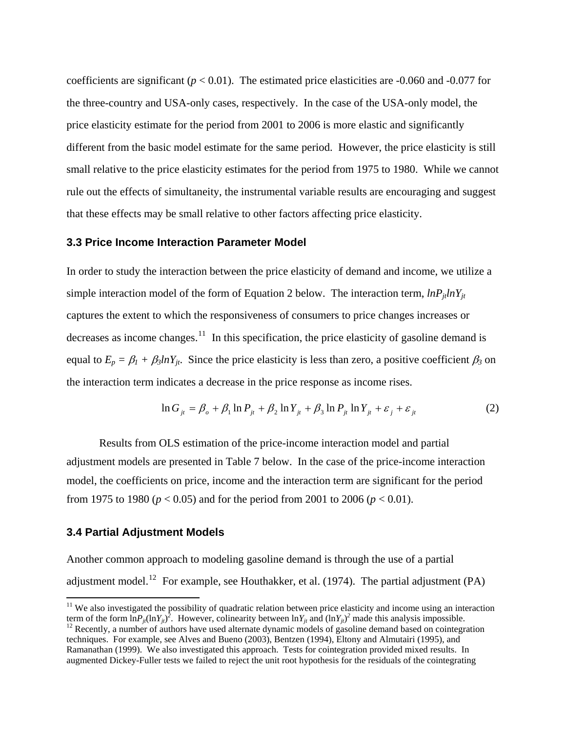<span id="page-11-0"></span>coefficients are significant ( $p < 0.01$ ). The estimated price elasticities are  $-0.060$  and  $-0.077$  for the three-country and USA-only cases, respectively. In the case of the USA-only model, the price elasticity estimate for the period from 2001 to 2006 is more elastic and significantly different from the basic model estimate for the same period. However, the price elasticity is still small relative to the price elasticity estimates for the period from 1975 to 1980. While we cannot rule out the effects of simultaneity, the instrumental variable results are encouraging and suggest that these effects may be small relative to other factors affecting price elasticity.

## **3.3 Price Income Interaction Parameter Model**

In order to study the interaction between the price elasticity of demand and income, we utilize a simple interaction model of the form of Equation 2 below. The interaction term,  $lnP_{it}lnY_{it}$ captures the extent to which the responsiveness of consumers to price changes increases or decreases as income changes.<sup>[11](#page-11-0)</sup> In this specification, the price elasticity of gasoline demand is equal to  $E_p = \beta_l + \beta_3 ln Y_{jt}$ . Since the price elasticity is less than zero, a positive coefficient  $\beta_3$  on the interaction term indicates a decrease in the price response as income rises.

$$
\ln G_{ji} = \beta_o + \beta_1 \ln P_{ji} + \beta_2 \ln Y_{ji} + \beta_3 \ln P_{ji} \ln Y_{ji} + \varepsilon_j + \varepsilon_{ji}
$$
 (2)

Results from OLS estimation of the price-income interaction model and partial adjustment models are presented in Table 7 below. In the case of the price-income interaction model, the coefficients on price, income and the interaction term are significant for the period from 1975 to 1980 ( $p < 0.05$ ) and for the period from 2001 to 2006 ( $p < 0.01$ ).

#### **3.4 Partial Adjustment Models**

 $\overline{a}$ 

Another common approach to modeling gasoline demand is through the use of a partial adjustment model.<sup>[12](#page-11-0)</sup> For example, see Houthakker, et al. (1974). The partial adjustment (PA)

 $11$  We also investigated the possibility of quadratic relation between price elasticity and income using an interaction term of the form  $\ln P_{it}(\ln Y_{it})^2$ . However, colinearity between  $\ln Y_{it}$  and  $(\ln Y_{it})^2$  $12$  Recently, a number of authors have used alternate dynamic models of gasoline demand based on cointegration techniques. For example, see Alves and Bueno (2003), Bentzen (1994), Eltony and Almutairi (1995), and Ramanathan (1999). We also investigated this approach. Tests for cointegration provided mixed results. In augmented Dickey-Fuller tests we failed to reject the unit root hypothesis for the residuals of the cointegrating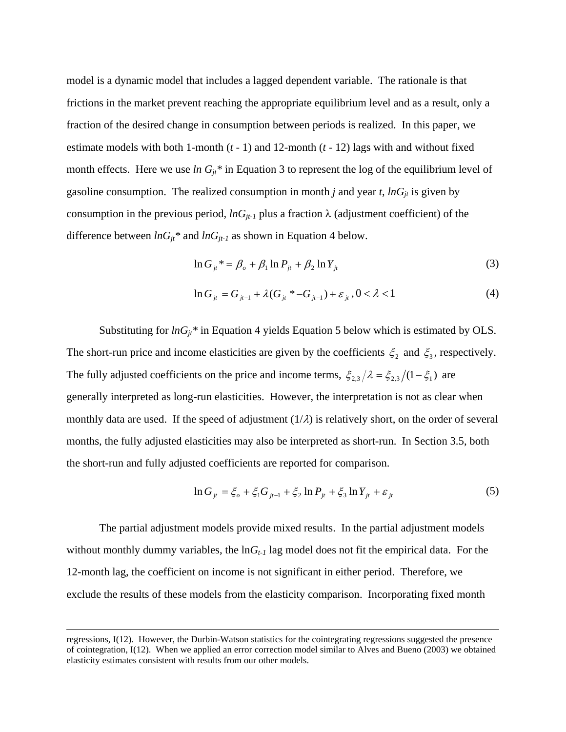model is a dynamic model that includes a lagged dependent variable. The rationale is that frictions in the market prevent reaching the appropriate equilibrium level and as a result, only a fraction of the desired change in consumption between periods is realized. In this paper, we estimate models with both 1-month (*t* - 1) and 12-month (*t* - 12) lags with and without fixed month effects. Here we use *ln*  $G_{jt}$ <sup>\*</sup> in Equation 3 to represent the log of the equilibrium level of gasoline consumption. The realized consumption in month *j* and year *t*,  $lnG_{jt}$  is given by consumption in the previous period,  $lnG_{it-1}$  plus a fraction  $\lambda$  (adjustment coefficient) of the difference between  $lnG_{jt}$ <sup>\*</sup> and  $lnG_{jt-1}$  as shown in Equation 4 below.

$$
\ln G_{ji}^* = \beta_o + \beta_1 \ln P_{ji} + \beta_2 \ln Y_{ji}
$$
 (3)

$$
\ln G_{ji} = G_{ji-1} + \lambda (G_{ji} * -G_{ji-1}) + \varepsilon_{ji}, 0 < \lambda < 1
$$
 (4)

Substituting for  $ln G_{it}$ <sup>\*</sup> in Equation 4 yields Equation 5 below which is estimated by OLS. The short-run price and income elasticities are given by the coefficients  $\xi_2$  and  $\xi_3$ , respectively. The fully adjusted coefficients on the price and income terms,  $\zeta_{2,3}/\lambda = \zeta_{2,3}/(1-\zeta_1)$  are generally interpreted as long-run elasticities. However, the interpretation is not as clear when monthly data are used. If the speed of adjustment  $(1/\lambda)$  is relatively short, on the order of several months, the fully adjusted elasticities may also be interpreted as short-run. In Section 3.5, both the short-run and fully adjusted coefficients are reported for comparison.

$$
\ln G_{ji} = \xi_o + \xi_1 G_{ji-1} + \xi_2 \ln P_{ji} + \xi_3 \ln Y_{ji} + \varepsilon_{ji}
$$
 (5)

The partial adjustment models provide mixed results. In the partial adjustment models without monthly dummy variables, the  $\ln G_{t-1}$  lag model does not fit the empirical data. For the 12-month lag, the coefficient on income is not significant in either period. Therefore, we exclude the results of these models from the elasticity comparison. Incorporating fixed month

regressions, I(12). However, the Durbin-Watson statistics for the cointegrating regressions suggested the presence of cointegration, I(12). When we applied an error correction model similar to Alves and Bueno (2003) we obtained elasticity estimates consistent with results from our other models.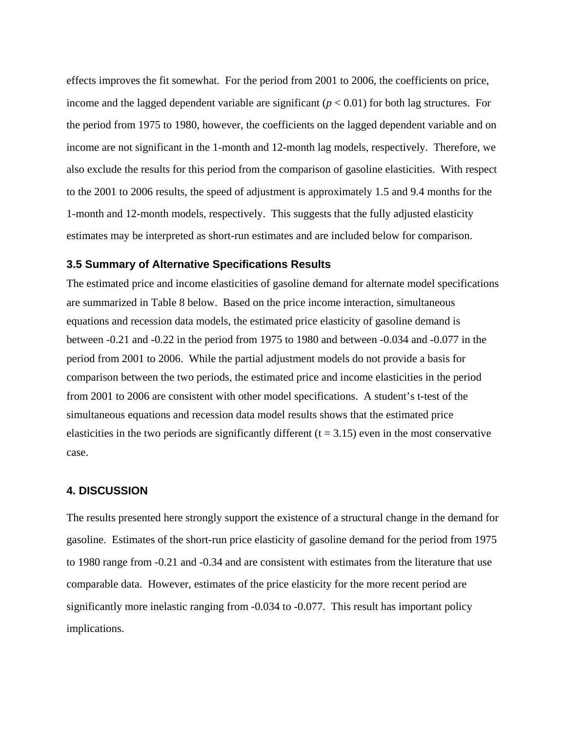effects improves the fit somewhat. For the period from 2001 to 2006, the coefficients on price, income and the lagged dependent variable are significant  $(p < 0.01)$  for both lag structures. For the period from 1975 to 1980, however, the coefficients on the lagged dependent variable and on income are not significant in the 1-month and 12-month lag models, respectively. Therefore, we also exclude the results for this period from the comparison of gasoline elasticities. With respect to the 2001 to 2006 results, the speed of adjustment is approximately 1.5 and 9.4 months for the 1-month and 12-month models, respectively. This suggests that the fully adjusted elasticity estimates may be interpreted as short-run estimates and are included below for comparison.

## **3.5 Summary of Alternative Specifications Results**

The estimated price and income elasticities of gasoline demand for alternate model specifications are summarized in Table 8 below. Based on the price income interaction, simultaneous equations and recession data models, the estimated price elasticity of gasoline demand is between -0.21 and -0.22 in the period from 1975 to 1980 and between -0.034 and -0.077 in the period from 2001 to 2006. While the partial adjustment models do not provide a basis for comparison between the two periods, the estimated price and income elasticities in the period from 2001 to 2006 are consistent with other model specifications. A student's t-test of the simultaneous equations and recession data model results shows that the estimated price elasticities in the two periods are significantly different  $(t = 3.15)$  even in the most conservative case.

#### **4. DISCUSSION**

The results presented here strongly support the existence of a structural change in the demand for gasoline. Estimates of the short-run price elasticity of gasoline demand for the period from 1975 to 1980 range from -0.21 and -0.34 and are consistent with estimates from the literature that use comparable data. However, estimates of the price elasticity for the more recent period are significantly more inelastic ranging from -0.034 to -0.077. This result has important policy implications.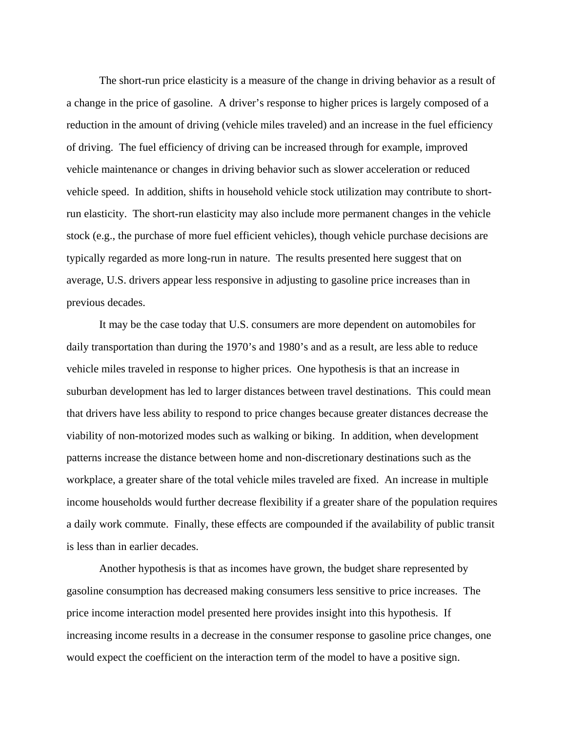The short-run price elasticity is a measure of the change in driving behavior as a result of a change in the price of gasoline. A driver's response to higher prices is largely composed of a reduction in the amount of driving (vehicle miles traveled) and an increase in the fuel efficiency of driving. The fuel efficiency of driving can be increased through for example, improved vehicle maintenance or changes in driving behavior such as slower acceleration or reduced vehicle speed. In addition, shifts in household vehicle stock utilization may contribute to shortrun elasticity. The short-run elasticity may also include more permanent changes in the vehicle stock (e.g., the purchase of more fuel efficient vehicles), though vehicle purchase decisions are typically regarded as more long-run in nature. The results presented here suggest that on average, U.S. drivers appear less responsive in adjusting to gasoline price increases than in previous decades.

It may be the case today that U.S. consumers are more dependent on automobiles for daily transportation than during the 1970's and 1980's and as a result, are less able to reduce vehicle miles traveled in response to higher prices. One hypothesis is that an increase in suburban development has led to larger distances between travel destinations. This could mean that drivers have less ability to respond to price changes because greater distances decrease the viability of non-motorized modes such as walking or biking. In addition, when development patterns increase the distance between home and non-discretionary destinations such as the workplace, a greater share of the total vehicle miles traveled are fixed. An increase in multiple income households would further decrease flexibility if a greater share of the population requires a daily work commute. Finally, these effects are compounded if the availability of public transit is less than in earlier decades.

Another hypothesis is that as incomes have grown, the budget share represented by gasoline consumption has decreased making consumers less sensitive to price increases. The price income interaction model presented here provides insight into this hypothesis. If increasing income results in a decrease in the consumer response to gasoline price changes, one would expect the coefficient on the interaction term of the model to have a positive sign.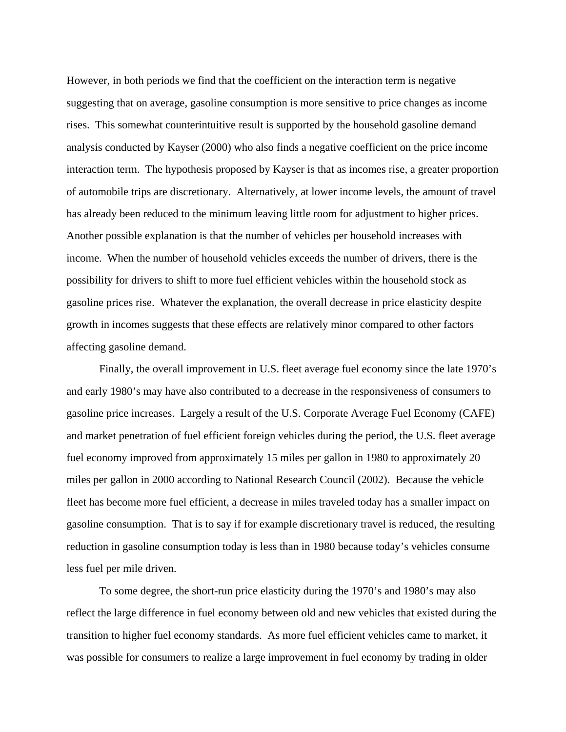However, in both periods we find that the coefficient on the interaction term is negative suggesting that on average, gasoline consumption is more sensitive to price changes as income rises. This somewhat counterintuitive result is supported by the household gasoline demand analysis conducted by Kayser (2000) who also finds a negative coefficient on the price income interaction term. The hypothesis proposed by Kayser is that as incomes rise, a greater proportion of automobile trips are discretionary. Alternatively, at lower income levels, the amount of travel has already been reduced to the minimum leaving little room for adjustment to higher prices. Another possible explanation is that the number of vehicles per household increases with income. When the number of household vehicles exceeds the number of drivers, there is the possibility for drivers to shift to more fuel efficient vehicles within the household stock as gasoline prices rise. Whatever the explanation, the overall decrease in price elasticity despite growth in incomes suggests that these effects are relatively minor compared to other factors affecting gasoline demand.

Finally, the overall improvement in U.S. fleet average fuel economy since the late 1970's and early 1980's may have also contributed to a decrease in the responsiveness of consumers to gasoline price increases. Largely a result of the U.S. Corporate Average Fuel Economy (CAFE) and market penetration of fuel efficient foreign vehicles during the period, the U.S. fleet average fuel economy improved from approximately 15 miles per gallon in 1980 to approximately 20 miles per gallon in 2000 according to National Research Council (2002). Because the vehicle fleet has become more fuel efficient, a decrease in miles traveled today has a smaller impact on gasoline consumption. That is to say if for example discretionary travel is reduced, the resulting reduction in gasoline consumption today is less than in 1980 because today's vehicles consume less fuel per mile driven.

To some degree, the short-run price elasticity during the 1970's and 1980's may also reflect the large difference in fuel economy between old and new vehicles that existed during the transition to higher fuel economy standards. As more fuel efficient vehicles came to market, it was possible for consumers to realize a large improvement in fuel economy by trading in older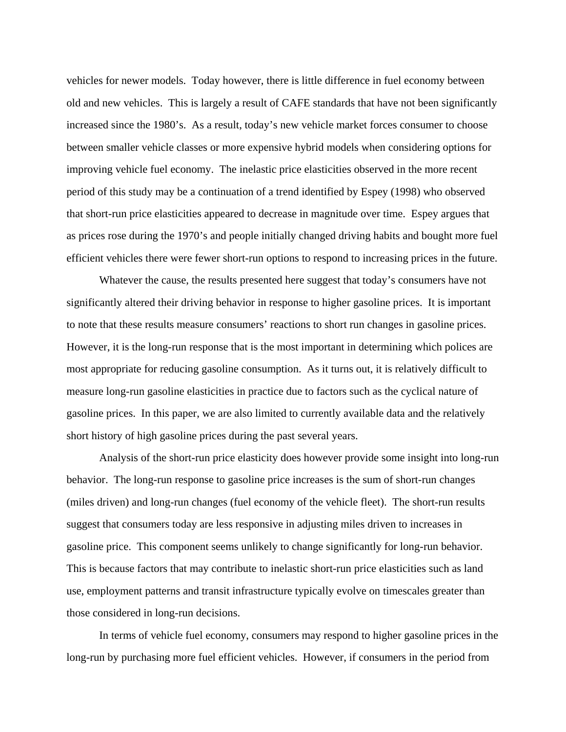vehicles for newer models. Today however, there is little difference in fuel economy between old and new vehicles. This is largely a result of CAFE standards that have not been significantly increased since the 1980's. As a result, today's new vehicle market forces consumer to choose between smaller vehicle classes or more expensive hybrid models when considering options for improving vehicle fuel economy. The inelastic price elasticities observed in the more recent period of this study may be a continuation of a trend identified by Espey (1998) who observed that short-run price elasticities appeared to decrease in magnitude over time. Espey argues that as prices rose during the 1970's and people initially changed driving habits and bought more fuel efficient vehicles there were fewer short-run options to respond to increasing prices in the future.

Whatever the cause, the results presented here suggest that today's consumers have not significantly altered their driving behavior in response to higher gasoline prices. It is important to note that these results measure consumers' reactions to short run changes in gasoline prices. However, it is the long-run response that is the most important in determining which polices are most appropriate for reducing gasoline consumption. As it turns out, it is relatively difficult to measure long-run gasoline elasticities in practice due to factors such as the cyclical nature of gasoline prices. In this paper, we are also limited to currently available data and the relatively short history of high gasoline prices during the past several years.

Analysis of the short-run price elasticity does however provide some insight into long-run behavior. The long-run response to gasoline price increases is the sum of short-run changes (miles driven) and long-run changes (fuel economy of the vehicle fleet). The short-run results suggest that consumers today are less responsive in adjusting miles driven to increases in gasoline price. This component seems unlikely to change significantly for long-run behavior. This is because factors that may contribute to inelastic short-run price elasticities such as land use, employment patterns and transit infrastructure typically evolve on timescales greater than those considered in long-run decisions.

In terms of vehicle fuel economy, consumers may respond to higher gasoline prices in the long-run by purchasing more fuel efficient vehicles. However, if consumers in the period from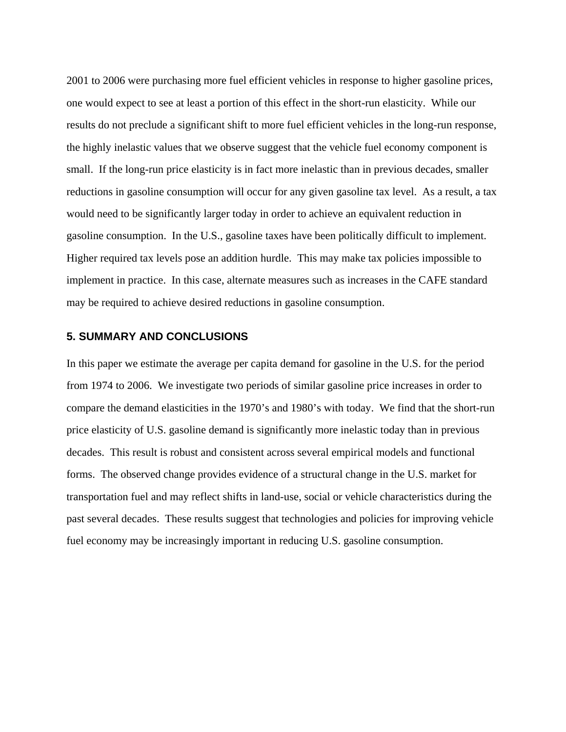2001 to 2006 were purchasing more fuel efficient vehicles in response to higher gasoline prices, one would expect to see at least a portion of this effect in the short-run elasticity. While our results do not preclude a significant shift to more fuel efficient vehicles in the long-run response, the highly inelastic values that we observe suggest that the vehicle fuel economy component is small. If the long-run price elasticity is in fact more inelastic than in previous decades, smaller reductions in gasoline consumption will occur for any given gasoline tax level. As a result, a tax would need to be significantly larger today in order to achieve an equivalent reduction in gasoline consumption. In the U.S., gasoline taxes have been politically difficult to implement. Higher required tax levels pose an addition hurdle. This may make tax policies impossible to implement in practice. In this case, alternate measures such as increases in the CAFE standard may be required to achieve desired reductions in gasoline consumption.

# **5. SUMMARY AND CONCLUSIONS**

In this paper we estimate the average per capita demand for gasoline in the U.S. for the period from 1974 to 2006. We investigate two periods of similar gasoline price increases in order to compare the demand elasticities in the 1970's and 1980's with today. We find that the short-run price elasticity of U.S. gasoline demand is significantly more inelastic today than in previous decades. This result is robust and consistent across several empirical models and functional forms. The observed change provides evidence of a structural change in the U.S. market for transportation fuel and may reflect shifts in land-use, social or vehicle characteristics during the past several decades. These results suggest that technologies and policies for improving vehicle fuel economy may be increasingly important in reducing U.S. gasoline consumption.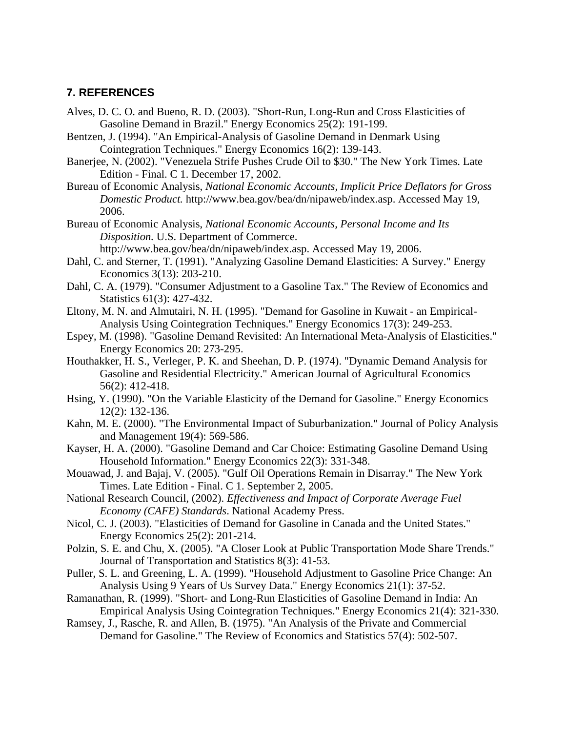# **7. REFERENCES**

- Alves, D. C. O. and Bueno, R. D. (2003). "Short-Run, Long-Run and Cross Elasticities of Gasoline Demand in Brazil." Energy Economics 25(2): 191-199.
- Bentzen, J. (1994). "An Empirical-Analysis of Gasoline Demand in Denmark Using Cointegration Techniques." Energy Economics 16(2): 139-143.
- Banerjee, N. (2002). "Venezuela Strife Pushes Crude Oil to \$30." The New York Times. Late Edition - Final. C 1. December 17, 2002.
- Bureau of Economic Analysis, *National Economic Accounts, Implicit Price Deflators for Gross Domestic Product.* http://www.bea.gov/bea/dn/nipaweb/index.asp. Accessed May 19, 2006.
- Bureau of Economic Analysis, *National Economic Accounts, Personal Income and Its Disposition.* U.S. Department of Commerce. http://www.bea.gov/bea/dn/nipaweb/index.asp. Accessed May 19, 2006.
- Dahl, C. and Sterner, T. (1991). "Analyzing Gasoline Demand Elasticities: A Survey." Energy Economics 3(13): 203-210.
- Dahl, C. A. (1979). "Consumer Adjustment to a Gasoline Tax." The Review of Economics and Statistics 61(3): 427-432.
- Eltony, M. N. and Almutairi, N. H. (1995). "Demand for Gasoline in Kuwait an Empirical-Analysis Using Cointegration Techniques." Energy Economics 17(3): 249-253.
- Espey, M. (1998). "Gasoline Demand Revisited: An International Meta-Analysis of Elasticities." Energy Economics 20: 273-295.
- Houthakker, H. S., Verleger, P. K. and Sheehan, D. P. (1974). "Dynamic Demand Analysis for Gasoline and Residential Electricity." American Journal of Agricultural Economics 56(2): 412-418.
- Hsing, Y. (1990). "On the Variable Elasticity of the Demand for Gasoline." Energy Economics 12(2): 132-136.
- Kahn, M. E. (2000). "The Environmental Impact of Suburbanization." Journal of Policy Analysis and Management 19(4): 569-586.
- Kayser, H. A. (2000). "Gasoline Demand and Car Choice: Estimating Gasoline Demand Using Household Information." Energy Economics 22(3): 331-348.
- Mouawad, J. and Bajaj, V. (2005). "Gulf Oil Operations Remain in Disarray." The New York Times. Late Edition - Final. C 1. September 2, 2005.
- National Research Council, (2002). *Effectiveness and Impact of Corporate Average Fuel Economy (CAFE) Standards*. National Academy Press.
- Nicol, C. J. (2003). "Elasticities of Demand for Gasoline in Canada and the United States." Energy Economics 25(2): 201-214.
- Polzin, S. E. and Chu, X. (2005). "A Closer Look at Public Transportation Mode Share Trends." Journal of Transportation and Statistics 8(3): 41-53.
- Puller, S. L. and Greening, L. A. (1999). "Household Adjustment to Gasoline Price Change: An Analysis Using 9 Years of Us Survey Data." Energy Economics 21(1): 37-52.
- Ramanathan, R. (1999). "Short- and Long-Run Elasticities of Gasoline Demand in India: An Empirical Analysis Using Cointegration Techniques." Energy Economics 21(4): 321-330.
- Ramsey, J., Rasche, R. and Allen, B. (1975). "An Analysis of the Private and Commercial Demand for Gasoline." The Review of Economics and Statistics 57(4): 502-507.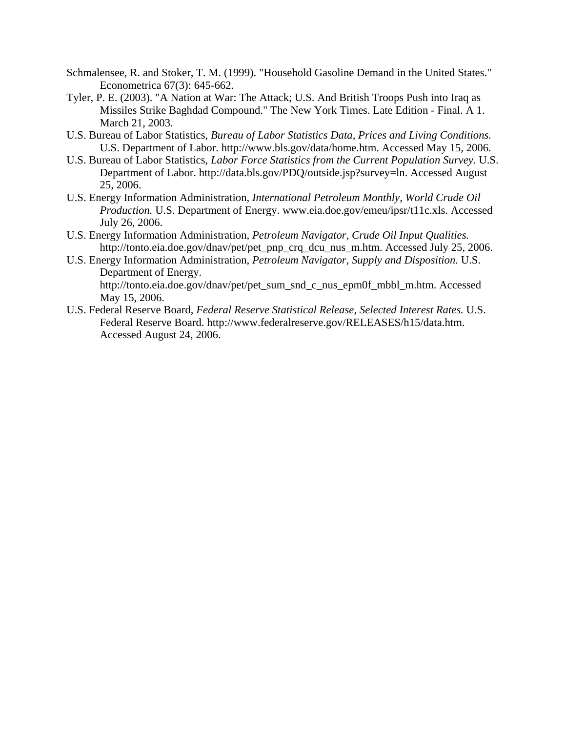- Schmalensee, R. and Stoker, T. M. (1999). "Household Gasoline Demand in the United States." Econometrica 67(3): 645-662.
- Tyler, P. E. (2003). "A Nation at War: The Attack; U.S. And British Troops Push into Iraq as Missiles Strike Baghdad Compound." The New York Times. Late Edition - Final. A 1. March 21, 2003.
- U.S. Bureau of Labor Statistics, *Bureau of Labor Statistics Data, Prices and Living Conditions.* U.S. Department of Labor. http://www.bls.gov/data/home.htm. Accessed May 15, 2006.
- U.S. Bureau of Labor Statistics, *Labor Force Statistics from the Current Population Survey.* U.S. Department of Labor. http://data.bls.gov/PDQ/outside.jsp?survey=ln. Accessed August 25, 2006.
- U.S. Energy Information Administration, *International Petroleum Monthly, World Crude Oil Production.* U.S. Department of Energy. www.eia.doe.gov/emeu/ipsr/t11c.xls. Accessed July 26, 2006.
- U.S. Energy Information Administration, *Petroleum Navigator, Crude Oil Input Qualities.* http://tonto.eia.doe.gov/dnav/pet/pet\_pnp\_crq\_dcu\_nus\_m.htm. Accessed July 25, 2006.
- U.S. Energy Information Administration, *Petroleum Navigator, Supply and Disposition.* U.S. Department of Energy. http://tonto.eia.doe.gov/dnav/pet/pet\_sum\_snd\_c\_nus\_epm0f\_mbbl\_m.htm. Accessed May 15, 2006.
- U.S. Federal Reserve Board, *Federal Reserve Statistical Release, Selected Interest Rates.* U.S. Federal Reserve Board. http://www.federalreserve.gov/RELEASES/h15/data.htm. Accessed August 24, 2006.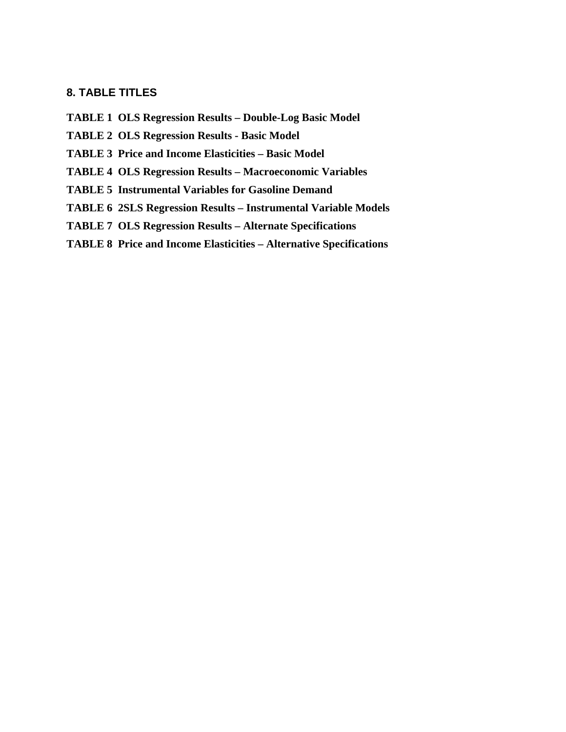# **8. TABLE TITLES**

- **TABLE 1 OLS Regression Results Double-Log Basic Model**
- **TABLE 2 OLS Regression Results Basic Model**
- **TABLE 3 Price and Income Elasticities Basic Model**
- **TABLE 4 OLS Regression Results Macroeconomic Variables**
- **TABLE 5 Instrumental Variables for Gasoline Demand**
- **TABLE 6 2SLS Regression Results Instrumental Variable Models**
- **TABLE 7 OLS Regression Results Alternate Specifications**
- **TABLE 8 Price and Income Elasticities Alternative Specifications**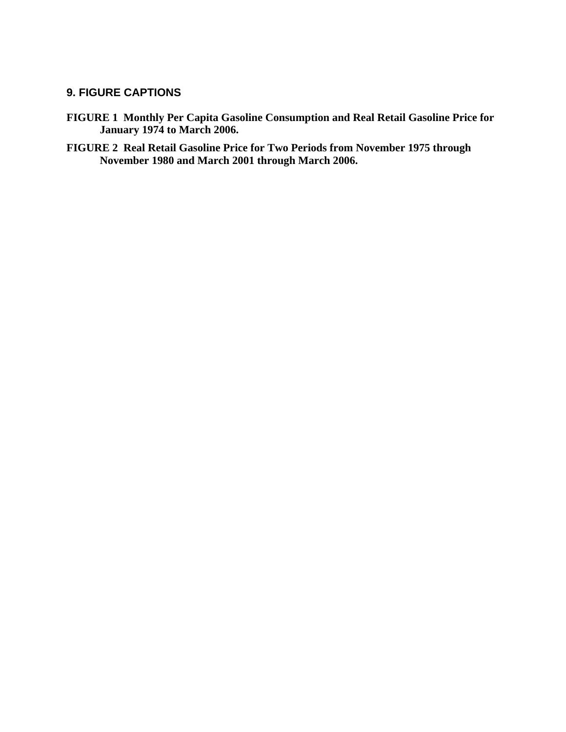# **9. FIGURE CAPTIONS**

- **FIGURE 1 Monthly Per Capita Gasoline Consumption and Real Retail Gasoline Price for January 1974 to March 2006.**
- **FIGURE 2 Real Retail Gasoline Price for Two Periods from November 1975 through November 1980 and March 2001 through March 2006.**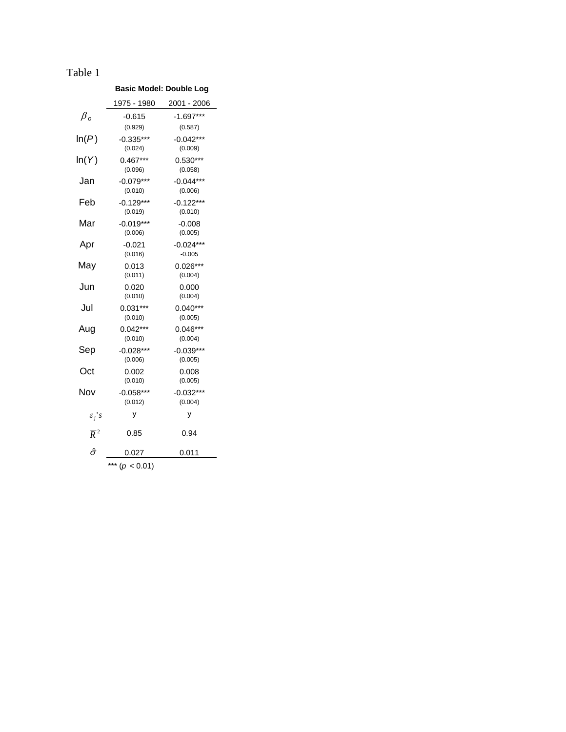# **Basic Model: Double Log**

|                    | <u> 1975 - 1980</u> | <u> 2001 - 2006</u> |
|--------------------|---------------------|---------------------|
| $\beta_o$          | $-0.615$            | $-1.697***$         |
|                    | (0.929)             | (0.587)             |
| $\mathsf{In}(P)$   | $-0.335***$         | $-0.042***$         |
|                    | (0.024)             | (0.009)             |
| ln(Y)              | $0.467***$          | $0.530***$          |
|                    | (0.096)             | (0.058)             |
| Jan                | $-0.079***$         | $-0.044***$         |
|                    | (0.010)             | (0.006)             |
| Feb                | $-0.129***$         | $-0.122***$         |
|                    | (0.019)             | (0.010)             |
| Mar                | $-0.019***$         | $-0.008$            |
|                    | (0.006)             | (0.005)             |
| Apr                | $-0.021$            | $-0.024***$         |
|                    | (0.016)             | $-0.005$            |
| May                | 0.013               | $0.026***$          |
|                    | (0.011)             | (0.004)             |
| Jun                | 0.020               | 0.000               |
|                    | (0.010)             | (0.004)             |
| Jul                | $0.031***$          | $0.040***$          |
|                    | (0.010)             | (0.005)             |
| Aug                | $0.042***$          | $0.046***$          |
|                    | (0.010)             | (0.004)             |
| Sep                | $-0.028***$         | $-0.039***$         |
|                    | (0.006)             | (0.005)             |
| Oct                | 0.002               | 0.008               |
|                    | (0.010)             | (0.005)             |
| Nov                | $-0.058***$         | $-0.032***$         |
|                    | (0.012)             | (0.004)             |
|                    | у                   | у                   |
| $\varepsilon_j$ 's |                     |                     |
| $\overline{R}^2$   | 0.85                | 0.94                |
| $\hat{\sigma}$     | 0.027               | 0.011               |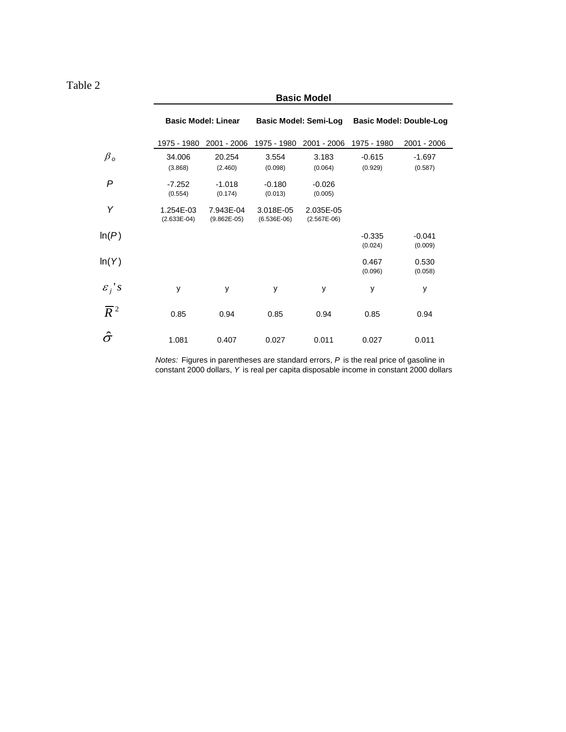# **Basic Model**

|                    | <b>Basic Model: Linear</b> |                            |                            | <b>Basic Model: Semi-Log</b> | <b>Basic Model: Double-Log</b> |                     |  |  |
|--------------------|----------------------------|----------------------------|----------------------------|------------------------------|--------------------------------|---------------------|--|--|
|                    | 1975 - 1980                | 2001 - 2006                | 1975 - 1980                | 2001 - 2006                  | 1975 - 1980                    | 2001 - 2006         |  |  |
| $\beta_o$          | 34.006<br>(3.868)          | 20.254<br>(2.460)          | 3.554<br>(0.098)           | 3.183<br>(0.064)             | $-0.615$<br>(0.929)            | $-1.697$<br>(0.587) |  |  |
| P                  | $-7.252$<br>(0.554)        | $-1.018$<br>(0.174)        | $-0.180$<br>(0.013)        | $-0.026$<br>(0.005)          |                                |                     |  |  |
| Υ                  | 1.254E-03<br>$(2.633E-04)$ | 7.943E-04<br>$(9.862E-05)$ | 3.018E-05<br>$(6.536E-06)$ | 2.035E-05<br>$(2.567E-06)$   |                                |                     |  |  |
| ln(P)              |                            |                            |                            |                              | $-0.335$<br>(0.024)            | $-0.041$<br>(0.009) |  |  |
| ln(Y)              |                            |                            |                            |                              | 0.467<br>(0.096)               | 0.530<br>(0.058)    |  |  |
| $\varepsilon_j$ 's | y                          | y                          | y                          | y                            | У                              | у                   |  |  |
| $\overline{R}^2$   | 0.85                       | 0.94                       | 0.85                       | 0.94                         | 0.85                           | 0.94                |  |  |
| $\hat{\sigma}$     | 1.081                      | 0.407                      | 0.027                      | 0.011                        | 0.027                          | 0.011               |  |  |

price of gasoline in onstant 2000 dollars *Notes:* Figures in parentheses are standard errors, *P* is the real constant 2000 dollars, *Y* is real per capita disposable income in c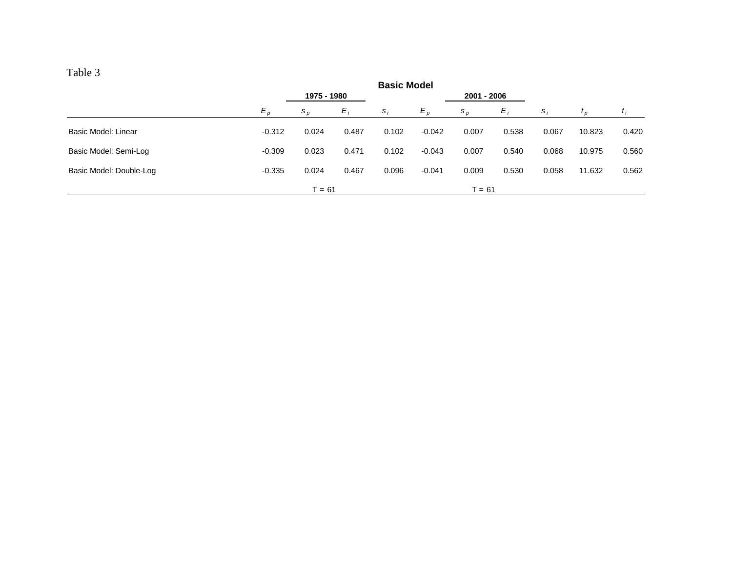| able |  |
|------|--|
|      |  |

|                         | <b>Basic Model</b> |             |       |       |          |             |       |       |                |       |
|-------------------------|--------------------|-------------|-------|-------|----------|-------------|-------|-------|----------------|-------|
|                         |                    | 1975 - 1980 |       |       |          | 2001 - 2006 |       |       |                |       |
|                         | $E_{p}$            | $S_{D}$     | $E_i$ | $S_i$ | $E_p$    | $S_{D}$     | $E_i$ | $S_i$ | $\mathbf{r}_p$ | t i   |
| Basic Model: Linear     | $-0.312$           | 0.024       | 0.487 | 0.102 | $-0.042$ | 0.007       | 0.538 | 0.067 | 10.823         | 0.420 |
| Basic Model: Semi-Log   | $-0.309$           | 0.023       | 0.471 | 0.102 | $-0.043$ | 0.007       | 0.540 | 0.068 | 10.975         | 0.560 |
| Basic Model: Double-Log | $-0.335$           | 0.024       | 0.467 | 0.096 | $-0.041$ | 0.009       | 0.530 | 0.058 | 11.632         | 0.562 |
|                         |                    | $T = 61$    |       |       |          | $= 61$      |       |       |                |       |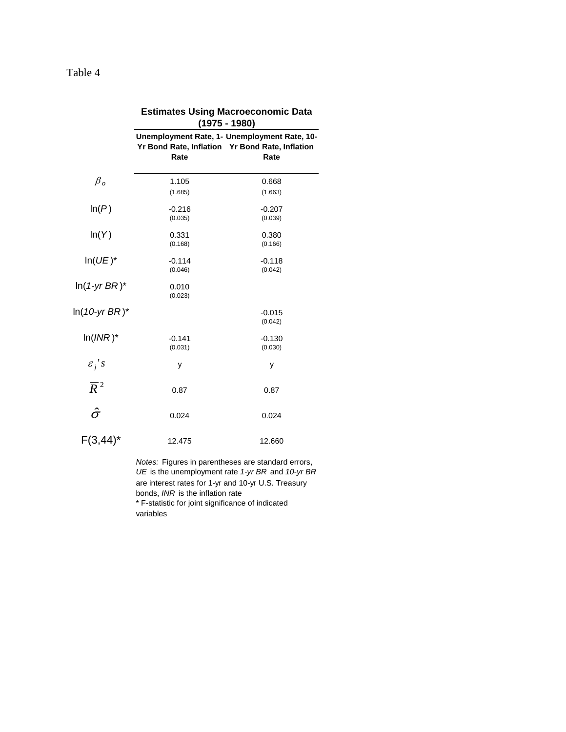|                        | (1975 - 1980)       |                                                                                                         |  |  |  |  |  |  |
|------------------------|---------------------|---------------------------------------------------------------------------------------------------------|--|--|--|--|--|--|
|                        | Rate                | Unemployment Rate, 1- Unemployment Rate, 10-<br>Yr Bond Rate, Inflation Yr Bond Rate, Inflation<br>Rate |  |  |  |  |  |  |
| $\beta_o$              | 1.105<br>(1.685)    | 0.668<br>(1.663)                                                                                        |  |  |  |  |  |  |
| ln(P)                  | $-0.216$<br>(0.035) | $-0.207$<br>(0.039)                                                                                     |  |  |  |  |  |  |
| ln(Y)                  | 0.331<br>(0.168)    | 0.380<br>(0.166)                                                                                        |  |  |  |  |  |  |
| $In(UE)^*$             | $-0.114$<br>(0.046) | $-0.118$<br>(0.042)                                                                                     |  |  |  |  |  |  |
| $ln(1-yrBR)^*$         | 0.010<br>(0.023)    |                                                                                                         |  |  |  |  |  |  |
| ln( <i>10-yr BR</i> )* |                     | $-0.015$<br>(0.042)                                                                                     |  |  |  |  |  |  |
| $ln(INR)^*$            | $-0.141$<br>(0.031) | $-0.130$<br>(0.030)                                                                                     |  |  |  |  |  |  |
| $\varepsilon_j$ 's     | у                   | у                                                                                                       |  |  |  |  |  |  |
| $\overline{R}^2$       | 0.87                | 0.87                                                                                                    |  |  |  |  |  |  |
| $\hat{\sigma}$         | 0.024               | 0.024                                                                                                   |  |  |  |  |  |  |
| $F(3, 44)^*$           | 12.475              | 12.660                                                                                                  |  |  |  |  |  |  |

**Estimates Using Macroeconomic Data** 

*Notes:* Figures in parentheses are standard errors, *UE* is the unemployment rate *1-yr BR* and *10-yr BR*  are interest rates for 1-yr and 10-yr U.S. Treasury bonds, *INR* is the inflation rate \* F-statistic for joint significance of indicated variables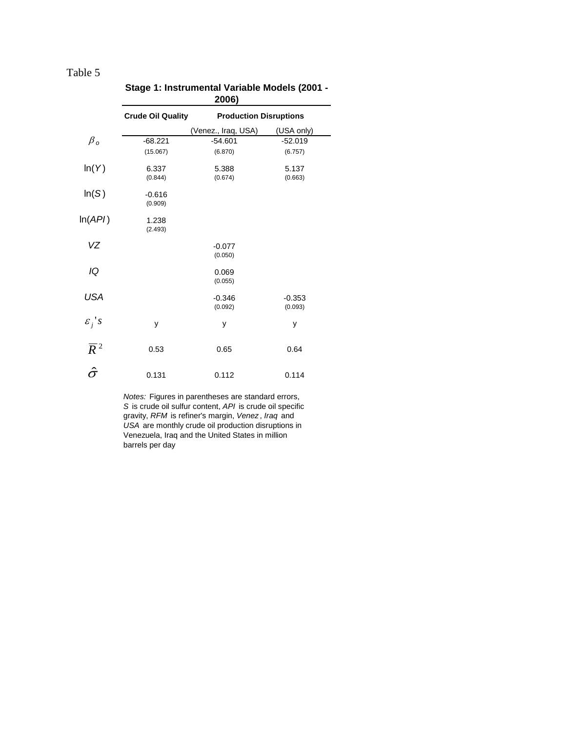|                    | 2006)                    |                               |            |  |  |  |  |  |  |  |
|--------------------|--------------------------|-------------------------------|------------|--|--|--|--|--|--|--|
|                    | <b>Crude Oil Quality</b> | <b>Production Disruptions</b> |            |  |  |  |  |  |  |  |
|                    |                          | (Venez., Iraq, USA)           | (USA only) |  |  |  |  |  |  |  |
| $\beta_o$          | $-68.221$                | $-54.601$                     | $-52.019$  |  |  |  |  |  |  |  |
|                    | (15.067)                 | (6.870)                       | (6.757)    |  |  |  |  |  |  |  |
| ln(Y)              | 6.337                    | 5.388                         | 5.137      |  |  |  |  |  |  |  |
|                    | (0.844)                  | (0.674)                       | (0.663)    |  |  |  |  |  |  |  |
| ln(S)              | $-0.616$                 |                               |            |  |  |  |  |  |  |  |
|                    | (0.909)                  |                               |            |  |  |  |  |  |  |  |
| ln(API)            | 1.238                    |                               |            |  |  |  |  |  |  |  |
|                    | (2.493)                  |                               |            |  |  |  |  |  |  |  |
| VZ                 |                          | $-0.077$                      |            |  |  |  |  |  |  |  |
|                    |                          | (0.050)                       |            |  |  |  |  |  |  |  |
| IQ                 |                          | 0.069                         |            |  |  |  |  |  |  |  |
|                    |                          | (0.055)                       |            |  |  |  |  |  |  |  |
| USA                |                          | $-0.346$                      | $-0.353$   |  |  |  |  |  |  |  |
|                    |                          | (0.092)                       | (0.093)    |  |  |  |  |  |  |  |
| $\varepsilon_j$ 's |                          |                               |            |  |  |  |  |  |  |  |
|                    | y                        | у                             | у          |  |  |  |  |  |  |  |
| $\overline{R}^2$   | 0.53                     | 0.65                          | 0.64       |  |  |  |  |  |  |  |
|                    |                          |                               |            |  |  |  |  |  |  |  |
| $\hat{\sigma}$     | 0.131                    | 0.112                         | 0.114      |  |  |  |  |  |  |  |
|                    |                          |                               |            |  |  |  |  |  |  |  |

|  | Stage 1: Instrumental Variable Models (2001 - |  |
|--|-----------------------------------------------|--|
|  |                                               |  |

*Notes:* Figures in parentheses are standard errors, *S* is crude oil sulfur content, *API* is crude oil specific gravity, *RFM* is refiner's margin, *Venez* , *Iraq* and *USA* are monthly crude oil production disruptions in Venezuela, Iraq and the United States in million barrels per day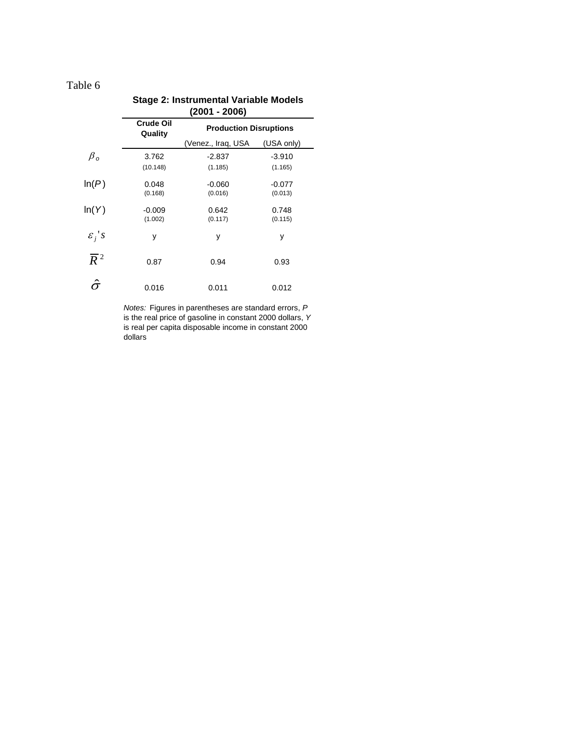| Stage 2: instrumental variable models |                             |                                                  |                     |  |  |  |  |  |
|---------------------------------------|-----------------------------|--------------------------------------------------|---------------------|--|--|--|--|--|
|                                       | <b>Crude Oil</b><br>Quality | $(2001 - 2006)$<br><b>Production Disruptions</b> |                     |  |  |  |  |  |
|                                       |                             | (Venez., Iraq, USA                               | (USA only)          |  |  |  |  |  |
| $\beta_o$                             | 3.762                       | -2.837                                           | $-3.910$            |  |  |  |  |  |
|                                       | (10.148)                    | (1.185)                                          | (1.165)             |  |  |  |  |  |
| ln(P)                                 | 0.048<br>(0.168)            | $-0.060$<br>(0.016)                              | $-0.077$<br>(0.013) |  |  |  |  |  |
| ln(Y)                                 | $-0.009$<br>(1.002)         | 0.642<br>(0.117)                                 | 0.748<br>(0.115)    |  |  |  |  |  |
| $\varepsilon_j$ 's                    | У                           | у                                                | У                   |  |  |  |  |  |
| $\overline{R}^2$                      | 0.87                        | 0.94                                             | 0.93                |  |  |  |  |  |
|                                       | 0.016                       | 0.011                                            | 0.012               |  |  |  |  |  |

#### *Notes:* Figures in parentheses are standard errors, *P*  is the real price of gasoline in constant 2000 dollars, *Y*  is real per capita disposable income in constant 2000 dollars

# **Stage 2: Instrumental Variable Models**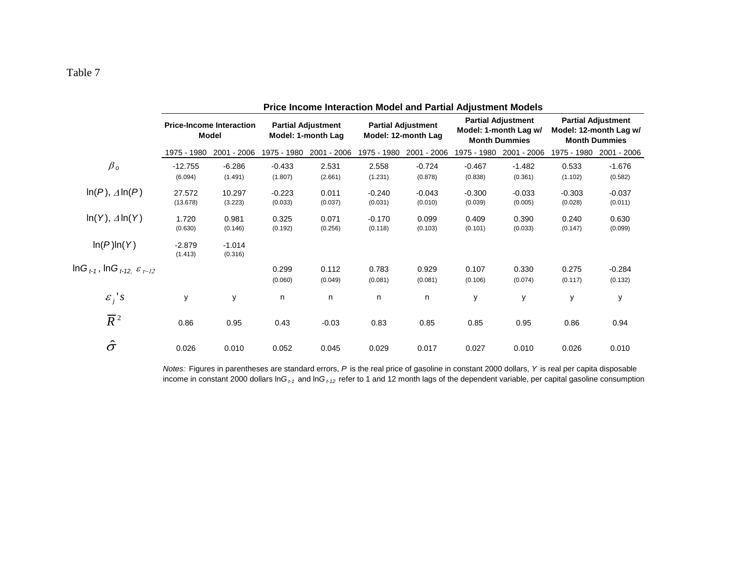|                                                                               | <b>Price Income Interaction Model and Partial Adjustment Models</b> |                                                 |                                                 |             |                                                  |             |                                                                            |             |                                                                             |             |  |
|-------------------------------------------------------------------------------|---------------------------------------------------------------------|-------------------------------------------------|-------------------------------------------------|-------------|--------------------------------------------------|-------------|----------------------------------------------------------------------------|-------------|-----------------------------------------------------------------------------|-------------|--|
|                                                                               |                                                                     | <b>Price-Income Interaction</b><br><b>Model</b> | <b>Partial Adjustment</b><br>Model: 1-month Lag |             | <b>Partial Adjustment</b><br>Model: 12-month Lag |             | <b>Partial Adjustment</b><br>Model: 1-month Lag w/<br><b>Month Dummies</b> |             | <b>Partial Adjustment</b><br>Model: 12-month Lag w/<br><b>Month Dummies</b> |             |  |
|                                                                               | 1975 - 1980                                                         | 2001 - 2006                                     | 1975 - 1980                                     | 2001 - 2006 | 1975 - 1980                                      | 2001 - 2006 | 1975 - 1980                                                                | 2001 - 2006 | 1975 - 1980                                                                 | 2001 - 2006 |  |
| $\beta_o$                                                                     | $-12.755$                                                           | $-6.286$                                        | $-0.433$                                        | 2.531       | 2.558                                            | $-0.724$    | $-0.467$                                                                   | $-1.482$    | 0.533                                                                       | $-1.676$    |  |
|                                                                               | (6.094)                                                             | (1.491)                                         | (1.807)                                         | (2.661)     | (1.231)                                          | (0.878)     | (0.838)                                                                    | (0.361)     | (1.102)                                                                     | (0.582)     |  |
| $\ln(P)$ , $\Delta \ln(P)$                                                    | 27.572                                                              | 10.297                                          | $-0.223$                                        | 0.011       | $-0.240$                                         | $-0.043$    | $-0.300$                                                                   | $-0.033$    | $-0.303$                                                                    | $-0.037$    |  |
|                                                                               | (13.678)                                                            | (3.223)                                         | (0.033)                                         | (0.037)     | (0.031)                                          | (0.010)     | (0.039)                                                                    | (0.005)     | (0.028)                                                                     | (0.011)     |  |
| $ln(Y), \Delta ln(Y)$                                                         | 1.720                                                               | 0.981                                           | 0.325                                           | 0.071       | $-0.170$                                         | 0.099       | 0.409                                                                      | 0.390       | 0.240                                                                       | 0.630       |  |
|                                                                               | (0.630)                                                             | (0.146)                                         | (0.192)                                         | (0.256)     | (0.118)                                          | (0.103)     | (0.101)                                                                    | (0.033)     | (0.147)                                                                     | (0.099)     |  |
| ln(P)ln(Y)                                                                    | $-2.879$                                                            | $-1.014$                                        |                                                 |             |                                                  |             |                                                                            |             |                                                                             |             |  |
|                                                                               | (1.413)                                                             | (0.316)                                         |                                                 |             |                                                  |             |                                                                            |             |                                                                             |             |  |
| InG $_{t\text{-}1}$ , InG $_{t\text{-}12,}$ $\varepsilon$ $_{\tau\text{-}12}$ |                                                                     |                                                 | 0.299                                           | 0.112       | 0.783                                            | 0.929       | 0.107                                                                      | 0.330       | 0.275                                                                       | $-0.284$    |  |
|                                                                               |                                                                     |                                                 | (0.060)                                         | (0.049)     | (0.081)                                          | (0.081)     | (0.106)                                                                    | (0.074)     | (0.117)                                                                     | (0.132)     |  |
| $\varepsilon_i$ 's                                                            | у                                                                   | y                                               | n                                               | n           | n                                                | n           | y                                                                          | y           | y                                                                           | у           |  |
| $\overline{R}^2$                                                              | 0.86                                                                | 0.95                                            | 0.43                                            | $-0.03$     | 0.83                                             | 0.85        | 0.85                                                                       | 0.95        | 0.86                                                                        | 0.94        |  |
| $\hat{\sigma}$                                                                | 0.026                                                               | 0.010                                           | 0.052                                           | 0.045       | 0.029                                            | 0.017       | 0.027                                                                      | 0.010       | 0.026                                                                       | 0.010       |  |

*Notes:* Figures in parentheses are standard errors, *P* is the real price of gasoline in constant 2000 dollars, *Y* is real per capita disposable income in constant 2000 dollars ln*G t-1* and ln*G t-12* refer to 1 and 12 month lags of the dependent variable, per capital gasoline consumption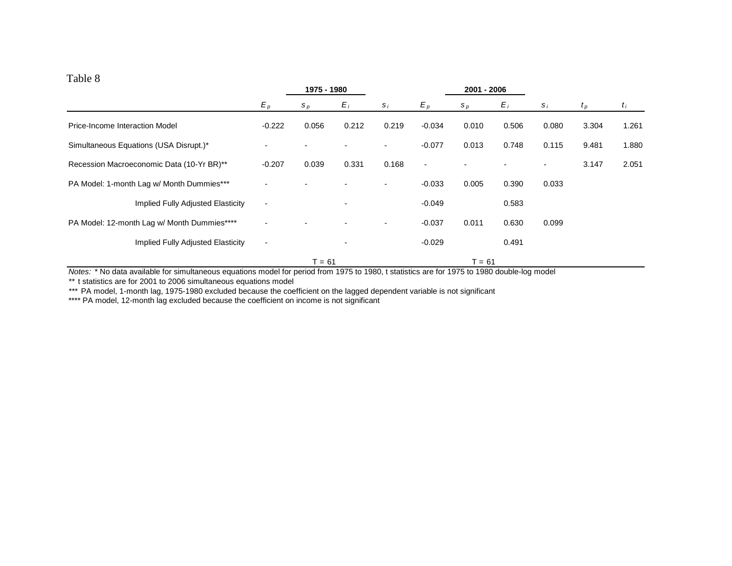|                                             |                          | 1975 - 1980 |                |                          | 2001 - 2006 |        |       |       |         |       |
|---------------------------------------------|--------------------------|-------------|----------------|--------------------------|-------------|--------|-------|-------|---------|-------|
|                                             | $E_p$                    | $S_p$       | $E_i$          | $S_i$                    | $E_p$       | $S_p$  | $E_i$ | $S_i$ | $t_{p}$ | $t_i$ |
| Price-Income Interaction Model              | $-0.222$                 | 0.056       | 0.212          | 0.219                    | $-0.034$    | 0.010  | 0.506 | 0.080 | 3.304   | 1.261 |
| Simultaneous Equations (USA Disrupt.)*      |                          |             |                | $\overline{\phantom{0}}$ | $-0.077$    | 0.013  | 0.748 | 0.115 | 9.481   | 1.880 |
| Recession Macroeconomic Data (10-Yr BR)**   | $-0.207$                 | 0.039       | 0.331          | 0.168                    | $\sim$      |        |       |       | 3.147   | 2.051 |
| PA Model: 1-month Lag w/ Month Dummies***   |                          |             |                | $\blacksquare$           | $-0.033$    | 0.005  | 0.390 | 0.033 |         |       |
| Implied Fully Adjusted Elasticity           | $\overline{\phantom{a}}$ |             | $\blacksquare$ |                          | $-0.049$    |        | 0.583 |       |         |       |
| PA Model: 12-month Lag w/ Month Dummies**** |                          |             |                | $\blacksquare$           | $-0.037$    | 0.011  | 0.630 | 0.099 |         |       |
| Implied Fully Adjusted Elasticity           | $\overline{\phantom{a}}$ |             |                |                          | $-0.029$    |        | 0.491 |       |         |       |
|                                             |                          | $T = 61$    |                |                          |             | T = 61 |       |       |         |       |

*Notes:* \* No data available for simultaneous equations model for period from 1975 to 1980, t statistics are for 1975 to 1980 double-log model

*\*\** t statistics are for 2001 to 2006 simultaneous equations model

*\*\*\** PA model, 1-month lag, 1975-1980 excluded because the coefficient on the lagged dependent variable is not significant

\*\*\*\* PA model, 12-month lag excluded because the coefficient on income is not significant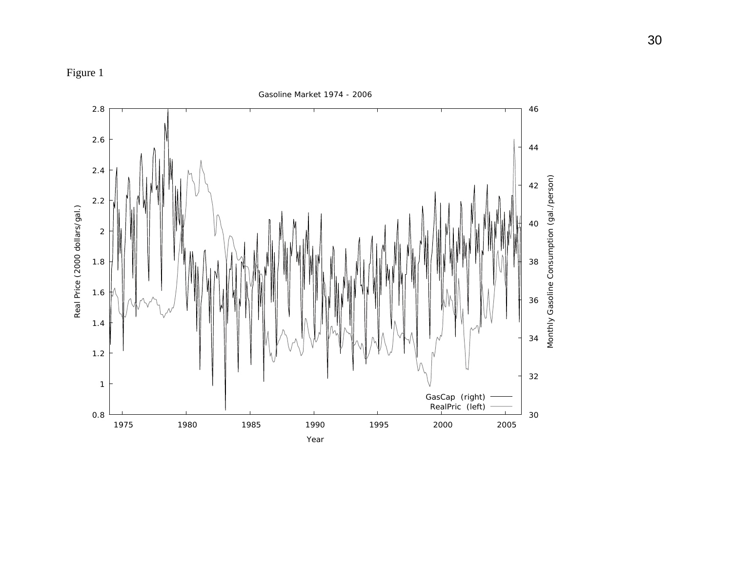

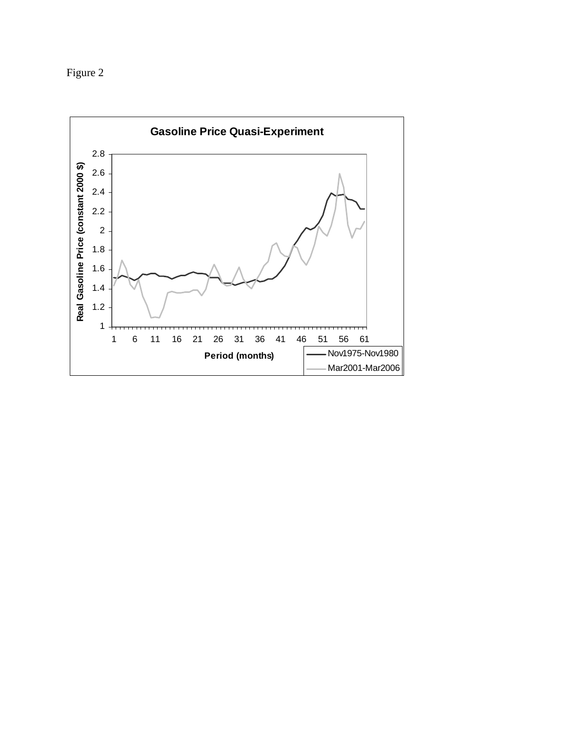Figure 2